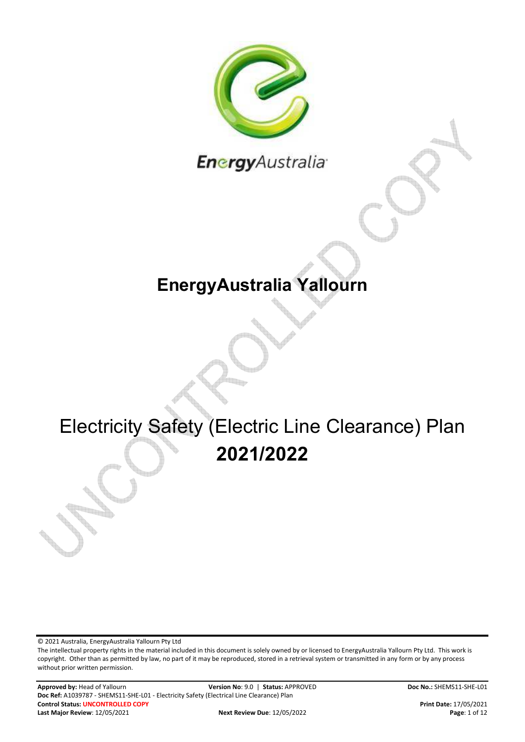

Energy Australia<sup>®</sup>

### **EnergyAustralia Yallourn**

# Electricity Safety (Electric Line Clearance) Plan **2021/2022**

© 2021 Australia, EnergyAustralia Yallourn Pty Ltd

The intellectual property rights in the material included in this document is solely owned by or licensed to EnergyAustralia Yallourn Pty Ltd. This work is copyright. Other than as permitted by law, no part of it may be reproduced, stored in a retrieval system or transmitted in any form or by any process without prior written permission.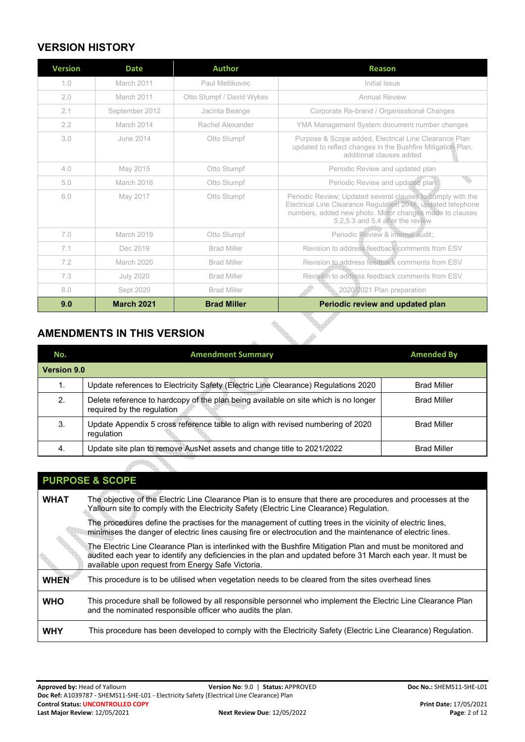#### **VERSION HISTORY**

| <b>Version</b> | <b>Date</b>       | <b>Author</b>             | <b>Reason</b>                                                                                                                                                                                                              |
|----------------|-------------------|---------------------------|----------------------------------------------------------------------------------------------------------------------------------------------------------------------------------------------------------------------------|
| 1.0            | March 2011        | Paul Metlikovec           | Initial Issue                                                                                                                                                                                                              |
| 2.0            | March 2011        | Otto Stumpf / David Wykes | <b>Annual Review</b>                                                                                                                                                                                                       |
| 2.1            | September 2012    | Jacinta Beange            | Corporate Re-brand / Organisational Changes                                                                                                                                                                                |
| 2.2            | March 2014        | Rachel Alexander          | YMA Management System document number changes                                                                                                                                                                              |
| 3.0            | June 2014         | Otto Stumpf               | Purpose & Scope added, Electrical Line Clearance Plan<br>updated to reflect changes in the Bushfire Mitigation Plan,<br>additional clauses added                                                                           |
| 4.0            | May 2015          | Otto Stumpf               | Periodic Review and updated plan                                                                                                                                                                                           |
| 5.0            | March 2016        | Otto Stumpf               | Periodic Review and updated plan                                                                                                                                                                                           |
| 6.0            | May 2017          | Otto Stumpf               | Periodic Review; Updated several clauses to comply with the<br>Electrical Line Clearance Regulation 2016; updated telephone<br>numbers, added new photo. Minor changes made to clauses<br>5.2,5.3 and 5.4 after the review |
| 7.0            | March 2019        | Otto Stumpf               | Periodic Review & internal audit;                                                                                                                                                                                          |
| 7.1            | Dec 2019          | <b>Brad Miller</b>        | Revision to address feedback comments from ESV                                                                                                                                                                             |
| 7.2            | <b>March 2020</b> | <b>Brad Miller</b>        | Revision to address feedback comments from ESV                                                                                                                                                                             |
| 7.3            | <b>July 2020</b>  | <b>Brad Miller</b>        | Revision to address feedback comments from ESV                                                                                                                                                                             |
| 8.0            | Sept 2020         | <b>Brad Miller</b>        | 2020/2021 Plan preparation                                                                                                                                                                                                 |
| 9.0            | <b>March 2021</b> | <b>Brad Miller</b>        | Periodic review and updated plan                                                                                                                                                                                           |

#### **AMENDMENTS IN THIS VERSION**

<span id="page-1-0"></span>

| No.                | <b>Amendment Summary</b>                                                                                          | <b>Amended By</b>  |
|--------------------|-------------------------------------------------------------------------------------------------------------------|--------------------|
| <b>Version 9.0</b> |                                                                                                                   |                    |
|                    | Update references to Electricity Safety (Electric Line Clearance) Regulations 2020                                | <b>Brad Miller</b> |
| 2.                 | Delete reference to hardcopy of the plan being available on site which is no longer<br>required by the regulation | <b>Brad Miller</b> |
| 3.                 | Update Appendix 5 cross reference table to align with revised numbering of 2020<br>regulation                     | <b>Brad Miller</b> |
| -4.                | Update site plan to remove AusNet assets and change title to 2021/2022                                            | <b>Brad Miller</b> |

**March 1999** 

#### **PURPOSE & SCOPE WHAT** The objective of the Electric Line Clearance Plan is to ensure that there are procedures and processes at the Yallourn site to comply with the Electricity Safety (Electric Line Clearance) Regulation. The procedures define the practises for the management of cutting trees in the vicinity of electric lines, minimises the danger of electric lines causing fire or electrocution and the maintenance of electric lines. The Electric Line Clearance Plan is interlinked with the Bushfire Mitigation Plan and must be monitored and audited each year to identify any deficiencies in the plan and updated before 31 March each year. It must be available upon request from Energy Safe Victoria. WHEN This procedure is to be utilised when vegetation needs to be cleared from the sites overhead lines **WHO** This procedure shall be followed by all responsible personnel who implement the Electric Line Clearance Plan and the nominated responsible officer who audits the plan. WHY This procedure has been developed to comply with the Electricity Safety (Electric Line Clearance) Regulation.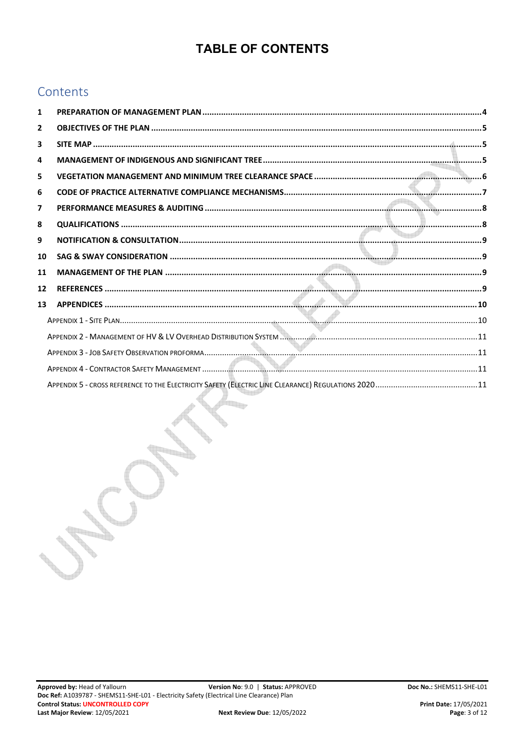### **TABLE OF CONTENTS**

#### Contents

| 1              |  |
|----------------|--|
| $\overline{2}$ |  |
| 3              |  |
| 4              |  |
| 5              |  |
| 6              |  |
| $\overline{7}$ |  |
| 8              |  |
| 9              |  |
| 10             |  |
| 11             |  |
| 12             |  |
| 13             |  |
|                |  |
|                |  |
|                |  |
|                |  |
|                |  |

a a s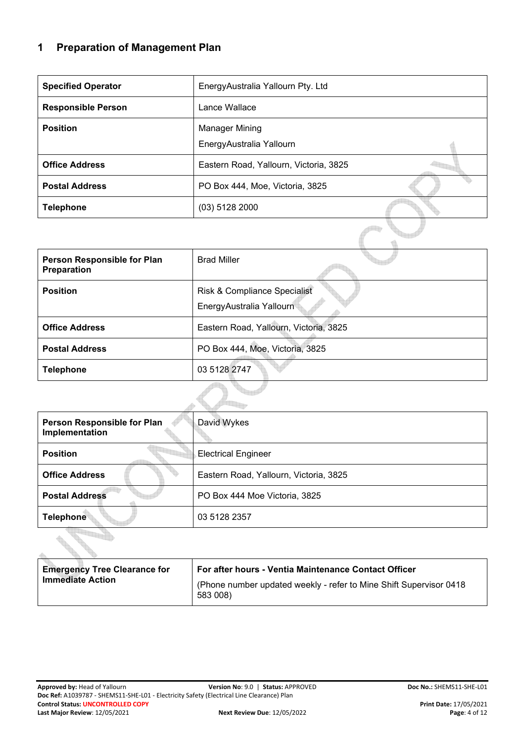#### <span id="page-3-0"></span>**1 Preparation of Management Plan**

| <b>Specified Operator</b> | EnergyAustralia Yallourn Pty. Ltd          |  |
|---------------------------|--------------------------------------------|--|
| <b>Responsible Person</b> | Lance Wallace                              |  |
| <b>Position</b>           | Manager Mining<br>EnergyAustralia Yallourn |  |
| <b>Office Address</b>     | Eastern Road, Yallourn, Victoria, 3825     |  |
| <b>Postal Address</b>     | PO Box 444, Moe, Victoria, 3825            |  |
| <b>Telephone</b>          | $(03)$ 5128 2000                           |  |
|                           |                                            |  |

| Person Responsible for Plan<br>Preparation | <b>Brad Miller</b>                                       |
|--------------------------------------------|----------------------------------------------------------|
| <b>Position</b>                            | Risk & Compliance Specialist<br>EnergyAustralia Yallourn |
| <b>Office Address</b>                      | Eastern Road, Yallourn, Victoria, 3825                   |
| <b>Postal Address</b>                      | PO Box 444, Moe, Victoria, 3825                          |
| <b>Telephone</b>                           | 03 5128 2747                                             |
|                                            |                                                          |

| Person Responsible for Plan<br>Implementation | David Wykes                            |
|-----------------------------------------------|----------------------------------------|
| <b>Position</b>                               | <b>Electrical Engineer</b>             |
| <b>Office Address</b>                         | Eastern Road, Yallourn, Victoria, 3825 |
| <b>Postal Address</b>                         | PO Box 444 Moe Victoria, 3825          |
| <b>Telephone</b>                              | 03 5128 2357                           |
|                                               |                                        |

| <b>Emergency Tree Clearance for</b><br><b>Immediate Action</b> | <b>For after hours - Ventia Maintenance Contact Officer</b><br>(Phone number updated weekly - refer to Mine Shift Supervisor 0418)<br>583 008) |
|----------------------------------------------------------------|------------------------------------------------------------------------------------------------------------------------------------------------|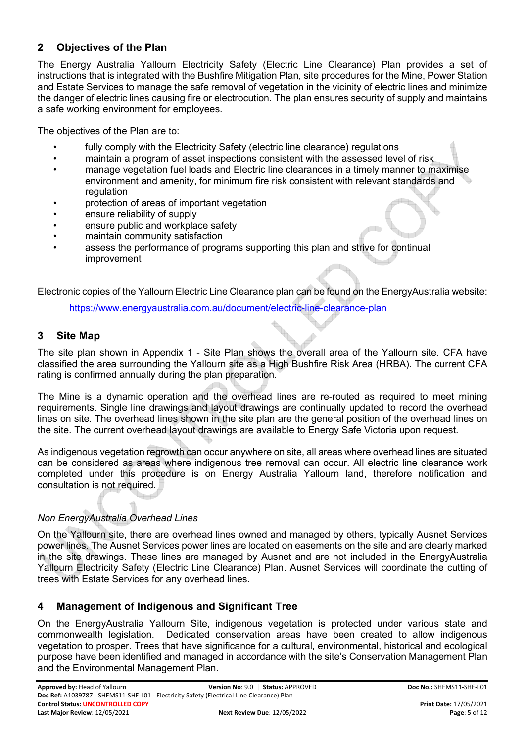#### <span id="page-4-0"></span>**2 Objectives of the Plan**

The Energy Australia Yallourn Electricity Safety (Electric Line Clearance) Plan provides a set of instructions that is integrated with the Bushfire Mitigation Plan, site procedures for the Mine, Power Station and Estate Services to manage the safe removal of vegetation in the vicinity of electric lines and minimize the danger of electric lines causing fire or electrocution. The plan ensures security of supply and maintains a safe working environment for employees.

The objectives of the Plan are to:

- fully comply with the Electricity Safety (electric line clearance) regulations
- maintain a program of asset inspections consistent with the assessed level of risk
- manage vegetation fuel loads and Electric line clearances in a timely manner to maximise environment and amenity, for minimum fire risk consistent with relevant standards and regulation
- protection of areas of important vegetation
- ensure reliability of supply
- ensure public and workplace safety
- maintain community satisfaction
- assess the performance of programs supporting this plan and strive for continual improvement

Electronic copies of the Yallourn Electric Line Clearance plan can be found on the EnergyAustralia website:

[https://www.energyaustralia.com.au/document/electric-line-clearance-plan](https://www.energyaustralia.com.au/document/electric-line-clearance-plan-0) 

#### <span id="page-4-1"></span>**3 Site Map**

The site plan shown in [Appendix 1 - Site Plan](#page-9-1) shows the overall area of the Yallourn site. CFA have classified the area surrounding the Yallourn site as a High Bushfire Risk Area (HRBA). The current CFA rating is confirmed annually during the plan preparation.

The Mine is a dynamic operation and the overhead lines are re-routed as required to meet mining requirements. Single line drawings and layout drawings are continually updated to record the overhead lines on site. The overhead lines shown in the site plan are the general position of the overhead lines on the site. The current overhead layout drawings are available to Energy Safe Victoria upon request.

As indigenous vegetation regrowth can occur anywhere on site, all areas where overhead lines are situated can be considered as areas where indigenous tree removal can occur. All electric line clearance work completed under this procedure is on Energy Australia Yallourn land, therefore notification and consultation is not required.

#### *Non EnergyAustralia Overhead Lines*

On the Yallourn site, there are overhead lines owned and managed by others, typically Ausnet Services power lines. The Ausnet Services power lines are located on easements on the site and are clearly marked in the site drawings. These lines are managed by Ausnet and are not included in the EnergyAustralia Yallourn Electricity Safety (Electric Line Clearance) Plan. Ausnet Services will coordinate the cutting of trees with Estate Services for any overhead lines.

#### <span id="page-4-2"></span>**4 Management of Indigenous and Significant Tree**

On the EnergyAustralia Yallourn Site, indigenous vegetation is protected under various state and commonwealth legislation. Dedicated conservation areas have been created to allow indigenous vegetation to prosper. Trees that have significance for a cultural, environmental, historical and ecological purpose have been identified and managed in accordance with the site's Conservation Management Plan and the Environmental Management Plan.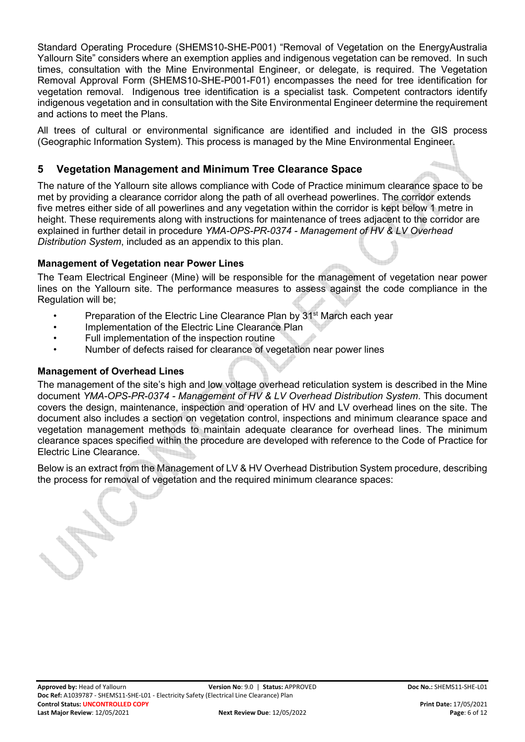Standard Operating Procedure (SHEMS10-SHE-P001) "Removal of Vegetation on the EnergyAustralia Yallourn Site" considers where an exemption applies and indigenous vegetation can be removed. In such times, consultation with the Mine Environmental Engineer, or delegate, is required. The Vegetation Removal Approval Form (SHEMS10-SHE-P001-F01) encompasses the need for tree identification for vegetation removal. Indigenous tree identification is a specialist task. Competent contractors identify indigenous vegetation and in consultation with the Site Environmental Engineer determine the requirement and actions to meet the Plans.

All trees of cultural or environmental significance are identified and included in the GIS process (Geographic Information System). This process is managed by the Mine Environmental Engineer.

#### <span id="page-5-0"></span>**5 Vegetation Management and Minimum Tree Clearance Space**

The nature of the Yallourn site allows compliance with Code of Practice minimum clearance space to be met by providing a clearance corridor along the path of all overhead powerlines. The corridor extends five metres either side of all powerlines and any vegetation within the corridor is kept below 1 metre in height. These requirements along with instructions for maintenance of trees adjacent to the corridor are explained in further detail in procedure *YMA-OPS-PR-0374 - Management of HV & LV Overhead Distribution System*, included as an appendix to this plan.

#### **Management of Vegetation near Power Lines**

The Team Electrical Engineer (Mine) will be responsible for the management of vegetation near power lines on the Yallourn site. The performance measures to assess against the code compliance in the Regulation will be;

- Preparation of the Electric Line Clearance Plan by 31<sup>st</sup> March each year
- Implementation of the Electric Line Clearance Plan
- Full implementation of the inspection routine
- Number of defects raised for clearance of vegetation near power lines

#### **Management of Overhead Lines**

The management of the site's high and low voltage overhead reticulation system is described in the Mine document *YMA-OPS-PR-0374 - Management of HV & LV Overhead Distribution System*. This document covers the design, maintenance, inspection and operation of HV and LV overhead lines on the site. The document also includes a section on vegetation control, inspections and minimum clearance space and vegetation management methods to maintain adequate clearance for overhead lines. The minimum clearance spaces specified within the procedure are developed with reference to the Code of Practice for Electric Line Clearance.

Below is an extract from the Management of LV & HV Overhead Distribution System procedure, describing the process for removal of vegetation and the required minimum clearance spaces:

 $\mathbb{C}$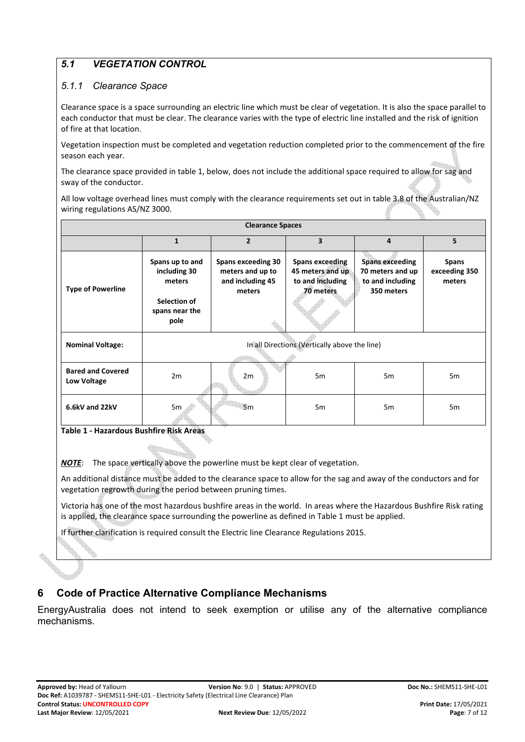#### *5.1 VEGETATION CONTROL*

#### *5.1.1 Clearance Space*

Clearance space is a space surrounding an electric line which must be clear of vegetation. It is also the space parallel to each conductor that must be clear. The clearance varies with the type of electric line installed and the risk of ignition of fire at that location.

Vegetation inspection must be completed and vegetation reduction completed prior to the commencement of the fire season each year.

The clearance space provided in table 1, below, does not include the additional space required to allow for sag and sway of the conductor.

All low voltage overhead lines must comply with the clearance requirements set out in table 3.8 of the Australian/NZ wiring regulations AS/NZ 3000.

| <b>Clearance Spaces</b>                        |                                                                                     |                                                                             |                                                                             |                                                                              |                                  |
|------------------------------------------------|-------------------------------------------------------------------------------------|-----------------------------------------------------------------------------|-----------------------------------------------------------------------------|------------------------------------------------------------------------------|----------------------------------|
|                                                | $\mathbf{1}$                                                                        | $\overline{2}$                                                              | $\overline{\mathbf{3}}$                                                     | 4                                                                            | 5                                |
| <b>Type of Powerline</b>                       | Spans up to and<br>including 30<br>meters<br>Selection of<br>spans near the<br>pole | <b>Spans exceeding 30</b><br>meters and up to<br>and including 45<br>meters | <b>Spans exceeding</b><br>45 meters and up<br>to and including<br>70 meters | <b>Spans exceeding</b><br>70 meters and up<br>to and including<br>350 meters | Spans<br>exceeding 350<br>meters |
| <b>Nominal Voltage:</b>                        | In all Directions (Vertically above the line)                                       |                                                                             |                                                                             |                                                                              |                                  |
| <b>Bared and Covered</b><br><b>Low Voltage</b> | 2m                                                                                  | 2m                                                                          | 5 <sub>m</sub>                                                              | 5 <sub>m</sub>                                                               | 5m                               |
| 6.6kV and 22kV                                 | 5m                                                                                  | 5m                                                                          | 5 <sub>m</sub>                                                              | 5 <sub>m</sub>                                                               | 5m                               |

**Table 1 - Hazardous Bushfire Risk Areas** 

*NOTE*: The space vertically above the powerline must be kept clear of vegetation.

An additional distance must be added to the clearance space to allow for the sag and away of the conductors and for vegetation regrowth during the period between pruning times.

Victoria has one of the most hazardous bushfire areas in the world. In areas where the Hazardous Bushfire Risk rating is applied, the clearance space surrounding the powerline as defined in Table 1 must be applied.

If further clarification is required consult the Electric line Clearance Regulations 2015.

#### <span id="page-6-0"></span>**6 Code of Practice Alternative Compliance Mechanisms**

EnergyAustralia does not intend to seek exemption or utilise any of the alternative compliance mechanisms.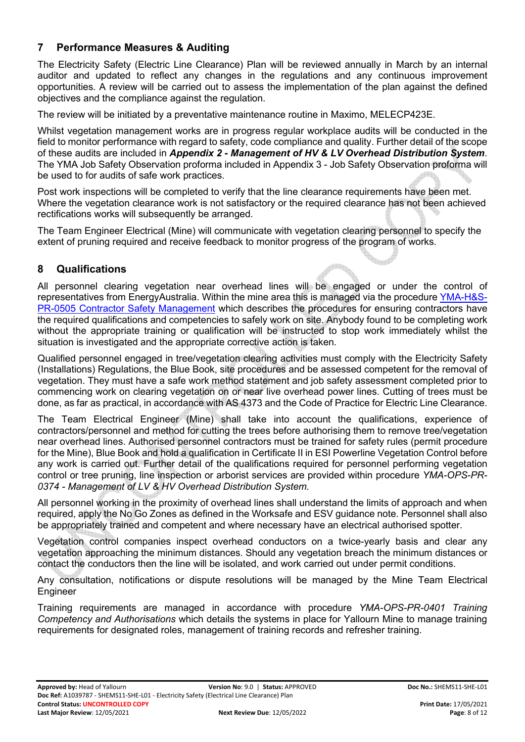#### <span id="page-7-0"></span>**7 Performance Measures & Auditing**

The Electricity Safety (Electric Line Clearance) Plan will be reviewed annually in March by an internal auditor and updated to reflect any changes in the regulations and any continuous improvement opportunities. A review will be carried out to assess the implementation of the plan against the defined objectives and the compliance against the regulation.

The review will be initiated by a preventative maintenance routine in Maximo, MELECP423E.

Whilst vegetation management works are in progress regular workplace audits will be conducted in the field to monitor performance with regard to safety, code compliance and quality. Further detail of the scope of these audits are included in *[Appendix 2 - Management of HV & LV Overhead Distribution System](#page-10-0)*. The YMA Job Safety Observation proforma included in [Appendix 3 - Job Safety Observation proforma](#page-10-1) will be used to for audits of safe work practices.

Post work inspections will be completed to verify that the line clearance requirements have been met. Where the vegetation clearance work is not satisfactory or the required clearance has not been achieved rectifications works will subsequently be arranged.

The Team Engineer Electrical (Mine) will communicate with vegetation clearing personnel to specify the extent of pruning required and receive feedback to monitor progress of the program of works.

#### <span id="page-7-1"></span>**8 Qualifications**

All personnel clearing vegetation near overhead lines will be engaged or under the control of representatives from EnergyAustralia. Within the mine area this is managed via the procedure [YMA-H&S-](https://objective-prod.domain.internal/id:A1042632/document/versions/latest)[PR-0505 Contractor Safety Management w](https://objective-prod.domain.internal/id:A1042632/document/versions/latest)hich describes the procedures for ensuring contractors have the required qualifications and competencies to safely work on site. Anybody found to be completing work without the appropriate training or qualification will be instructed to stop work immediately whilst the situation is investigated and the appropriate corrective action is taken.

Qualified personnel engaged in tree/vegetation clearing activities must comply with the Electricity Safety (Installations) Regulations, the Blue Book, site procedures and be assessed competent for the removal of vegetation. They must have a safe work method statement and job safety assessment completed prior to commencing work on clearing vegetation on or near live overhead power lines. Cutting of trees must be done, as far as practical, in accordance with AS 4373 and the Code of Practice for Electric Line Clearance.

The Team Electrical Engineer (Mine) shall take into account the qualifications, experience of contractors/personnel and method for cutting the trees before authorising them to remove tree/vegetation near overhead lines. Authorised personnel contractors must be trained for safety rules (permit procedure for the Mine), Blue Book and hold a qualification in Certificate II in ESI Powerline Vegetation Control before any work is carried out. Further detail of the qualifications required for personnel performing vegetation control or tree pruning, line inspection or arborist services are provided within procedure *YMA-OPS-PR-0374 - Management of LV & HV Overhead Distribution System.*

All personnel working in the proximity of overhead lines shall understand the limits of approach and when required, apply the No Go Zones as defined in the Worksafe and ESV guidance note. Personnel shall also be appropriately trained and competent and where necessary have an electrical authorised spotter.

Vegetation control companies inspect overhead conductors on a twice-yearly basis and clear any vegetation approaching the minimum distances. Should any vegetation breach the minimum distances or contact the conductors then the line will be isolated, and work carried out under permit conditions.

Any consultation, notifications or dispute resolutions will be managed by the Mine Team Electrical Engineer

Training requirements are managed in accordance with procedure *YMA-OPS-PR-0401 Training Competency and Authorisations* which details the systems in place for Yallourn Mine to manage training requirements for designated roles, management of training records and refresher training.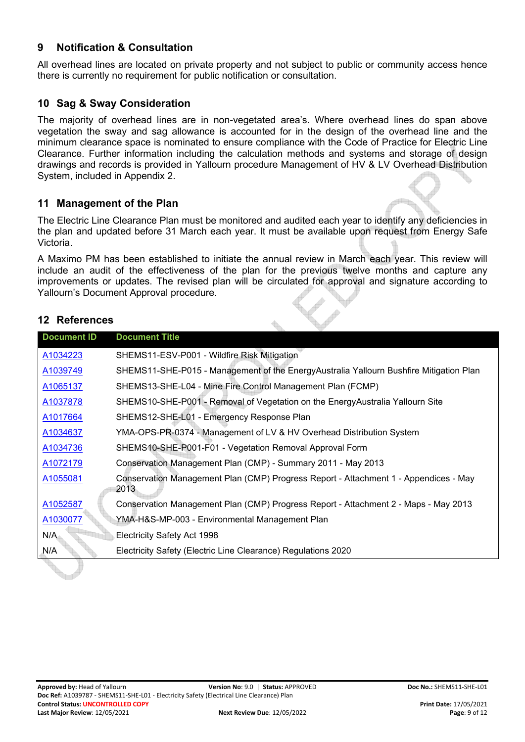#### <span id="page-8-0"></span>**9 Notification & Consultation**

All overhead lines are located on private property and not subject to public or community access hence there is currently no requirement for public notification or consultation.

#### <span id="page-8-1"></span>**10 Sag & Sway Consideration**

The majority of overhead lines are in non-vegetated area's. Where overhead lines do span above vegetation the sway and sag allowance is accounted for in the design of the overhead line and the minimum clearance space is nominated to ensure compliance with the Code of Practice for Electric Line Clearance. Further information including the calculation methods and systems and storage of design drawings and records is provided in Yallourn procedure Management of HV & LV Overhead Distribution System, included in Appendix 2.

#### <span id="page-8-2"></span>**11 Management of the Plan**

The Electric Line Clearance Plan must be monitored and audited each year to identify any deficiencies in the plan and updated before 31 March each year. It must be available upon request from Energy Safe Victoria.

A Maximo PM has been established to initiate the annual review in March each year. This review will include an audit of the effectiveness of the plan for the previous twelve months and capture any improvements or updates. The revised plan will be circulated for approval and signature according to Yallourn's Document Approval procedure.

#### <span id="page-8-3"></span>**12 References**

**Septiment** 

| <b>Document ID</b> | <b>Document Title</b>                                                                        |
|--------------------|----------------------------------------------------------------------------------------------|
| A1034223           | SHEMS11-ESV-P001 - Wildfire Risk Mitigation                                                  |
| A1039749           | SHEMS11-SHE-P015 - Management of the EnergyAustralia Yallourn Bushfire Mitigation Plan       |
| A1065137           | SHEMS13-SHE-L04 - Mine Fire Control Management Plan (FCMP)                                   |
| A1037878           | SHEMS10-SHE-P001 - Removal of Vegetation on the EnergyAustralia Yallourn Site                |
| A1017664           | SHEMS12-SHE-L01 - Emergency Response Plan                                                    |
| A1034637           | YMA-OPS-PR-0374 - Management of LV & HV Overhead Distribution System                         |
| A1034736           | SHEMS10-SHE-P001-F01 - Vegetation Removal Approval Form                                      |
| A1072179           | Conservation Management Plan (CMP) - Summary 2011 - May 2013                                 |
| A1055081           | Conservation Management Plan (CMP) Progress Report - Attachment 1 - Appendices - May<br>2013 |
| A1052587           | Conservation Management Plan (CMP) Progress Report - Attachment 2 - Maps - May 2013          |
| A1030077           | YMA-H&S-MP-003 - Environmental Management Plan                                               |
| N/A                | Electricity Safety Act 1998                                                                  |
| N/A                | Electricity Safety (Electric Line Clearance) Regulations 2020                                |
|                    |                                                                                              |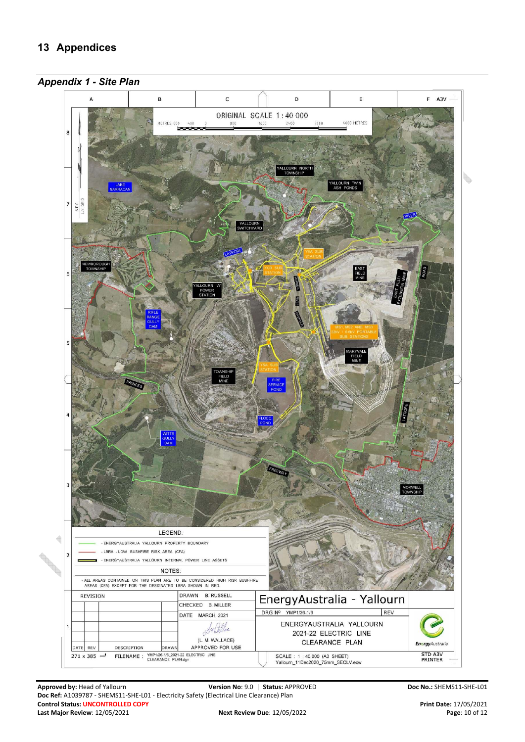<span id="page-9-1"></span><span id="page-9-0"></span>

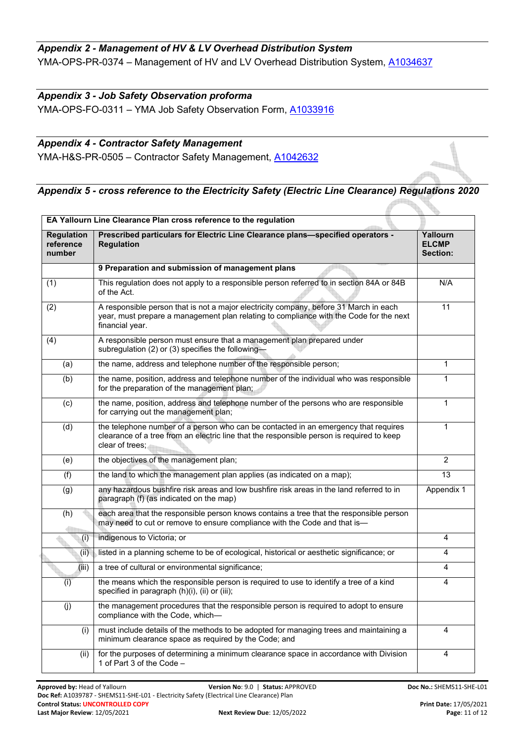#### <span id="page-10-0"></span>*Appendix 2 - Management of HV & LV Overhead Distribution System*  YMA-OPS-PR-0374 – Management of HV and LV Overhead Distribution System, [A1034637](https://objective-prod.domain.internal/id:A1034637/document/versions/latest)

#### <span id="page-10-1"></span>*Appendix 3 - Job Safety Observation proforma*

YMA-OPS-FO-0311 – YMA Job Safety Observation Form, [A1033916](https://objective-prod.domain.internal/id:A1033916/document/versions/latest)

#### <span id="page-10-2"></span>*Appendix 4 - Contractor Safety Management*

YMA-H&S-PR-0505 - Contractor Safety Management, [A1042632](https://objective-prod.domain.internal/id:A1042632/document/versions/latest)

## <span id="page-10-3"></span>*Appendix 5 - cross reference to the Electricity Safety (Electric Line Clearance) Regulations 2020*

|                                          | EA Yallourn Line Clearance Plan cross reference to the regulation                                                                                                                                   |                                      |
|------------------------------------------|-----------------------------------------------------------------------------------------------------------------------------------------------------------------------------------------------------|--------------------------------------|
| <b>Regulation</b><br>reference<br>number | Prescribed particulars for Electric Line Clearance plans-specified operators -<br><b>Regulation</b>                                                                                                 | Yallourn<br><b>ELCMP</b><br>Section: |
|                                          | 9 Preparation and submission of management plans                                                                                                                                                    |                                      |
| (1)                                      | This regulation does not apply to a responsible person referred to in section 84A or 84B<br>of the Act.                                                                                             | N/A                                  |
| $\overline{(2)}$                         | A responsible person that is not a major electricity company, before 31 March in each<br>year, must prepare a management plan relating to compliance with the Code for the next<br>financial year.  | 11                                   |
| (4)                                      | A responsible person must ensure that a management plan prepared under<br>subregulation (2) or (3) specifies the following-                                                                         |                                      |
| (a)                                      | the name, address and telephone number of the responsible person;                                                                                                                                   | $\mathbf{1}$                         |
| (b)                                      | the name, position, address and telephone number of the individual who was responsible<br>for the preparation of the management plan;                                                               | $\mathbf{1}$                         |
| (c)                                      | the name, position, address and telephone number of the persons who are responsible<br>for carrying out the management plan;                                                                        | $\mathbf{1}$                         |
| (d)                                      | the telephone number of a person who can be contacted in an emergency that requires<br>clearance of a tree from an electric line that the responsible person is required to keep<br>clear of trees: | $\mathbf{1}$                         |
| (e)                                      | the objectives of the management plan;                                                                                                                                                              | $\overline{2}$                       |
| (f)                                      | the land to which the management plan applies (as indicated on a map);                                                                                                                              | 13                                   |
| (g)                                      | any hazardous bushfire risk areas and low bushfire risk areas in the land referred to in<br>paragraph (f) (as indicated on the map)                                                                 | Appendix 1                           |
| (h)                                      | each area that the responsible person knows contains a tree that the responsible person<br>may need to cut or remove to ensure compliance with the Code and that is-                                |                                      |
| (i)                                      | indigenous to Victoria; or                                                                                                                                                                          | 4                                    |
| (ii)                                     | listed in a planning scheme to be of ecological, historical or aesthetic significance; or                                                                                                           | $\overline{4}$                       |
| (iii)                                    | a tree of cultural or environmental significance;                                                                                                                                                   | 4                                    |
| (i)                                      | the means which the responsible person is required to use to identify a tree of a kind<br>specified in paragraph (h)(i), (ii) or (iii);                                                             | 4                                    |
| (j)                                      | the management procedures that the responsible person is required to adopt to ensure<br>compliance with the Code, which-                                                                            |                                      |
| (i)                                      | must include details of the methods to be adopted for managing trees and maintaining a<br>minimum clearance space as required by the Code; and                                                      | 4                                    |
| (ii)                                     | for the purposes of determining a minimum clearance space in accordance with Division<br>1 of Part 3 of the Code -                                                                                  | 4                                    |

<u> 49 ma</u>